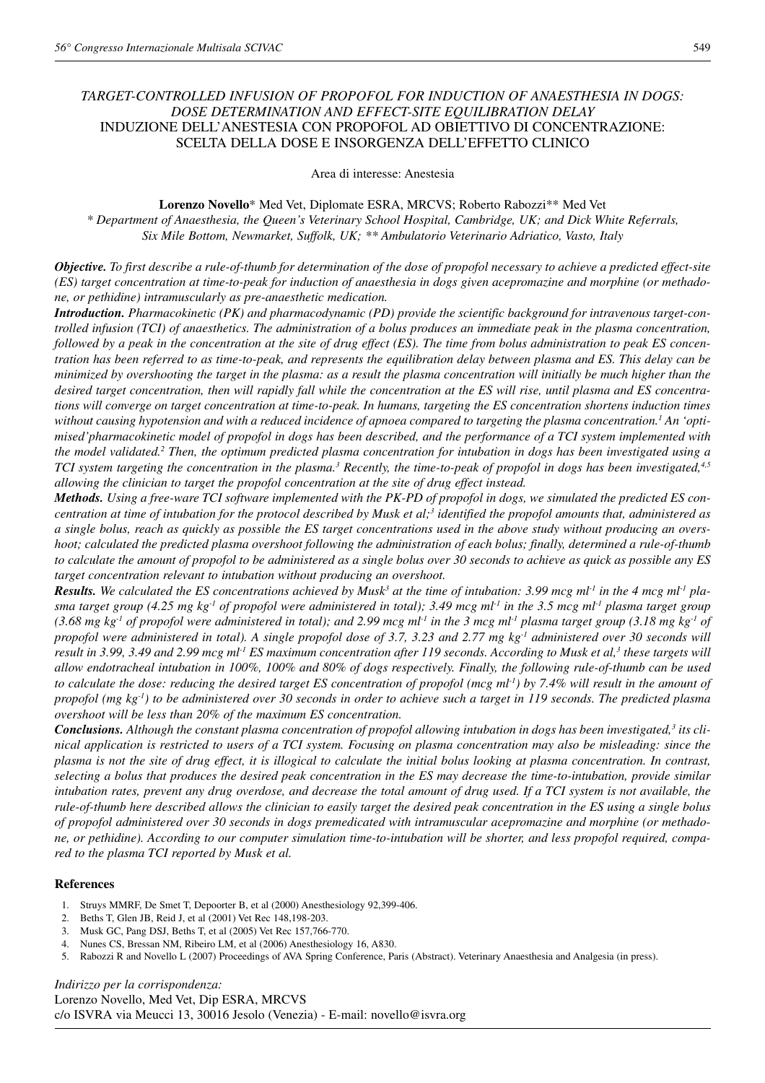# *TARGET-CONTROLLED INFUSION OF PROPOFOL FOR INDUCTION OF ANAESTHESIA IN DOGS: DOSE DETERMINATION AND EFFECT-SITE EQUILIBRATION DELAY* INDUZIONE DELL'ANESTESIA CON PROPOFOL AD OBIETTIVO DI CONCENTRAZIONE: SCELTA DELLA DOSE E INSORGENZA DELL'EFFETTO CLINICO

Area di interesse: Anestesia

**Lorenzo Novello**\* Med Vet, Diplomate ESRA, MRCVS; Roberto Rabozzi\*\* Med Vet

*\* Department of Anaesthesia, the Queen's Veterinary School Hospital, Cambridge, UK; and Dick White Referrals, Six Mile Bottom, Newmarket, Suffolk, UK; \*\* Ambulatorio Veterinario Adriatico, Vasto, Italy*

*Objective. To first describe a rule-of-thumb for determination of the dose of propofol necessary to achieve a predicted effect-site (ES) target concentration at time-to-peak for induction of anaesthesia in dogs given acepromazine and morphine (or methadone, or pethidine) intramuscularly as pre-anaesthetic medication.*

*Introduction. Pharmacokinetic (PK) and pharmacodynamic (PD) provide the scientific background for intravenous target-controlled infusion (TCI) of anaesthetics. The administration of a bolus produces an immediate peak in the plasma concentration, followed by a peak in the concentration at the site of drug effect (ES). The time from bolus administration to peak ES concentration has been referred to as time-to-peak, and represents the equilibration delay between plasma and ES. This delay can be minimized by overshooting the target in the plasma: as a result the plasma concentration will initially be much higher than the desired target concentration, then will rapidly fall while the concentration at the ES will rise, until plasma and ES concentrations will converge on target concentration at time-to-peak. In humans, targeting the ES concentration shortens induction times* without causing hypotension and with a reduced incidence of apnoea compared to targeting the plasma concentration.<sup>1</sup> An 'opti*mised'pharmacokinetic model of propofol in dogs has been described, and the performance of a TCI system implemented with the model validated.2 Then, the optimum predicted plasma concentration for intubation in dogs has been investigated using a TCI system targeting the concentration in the plasma.3 Recently, the time-to-peak of propofol in dogs has been investigated,4,5 allowing the clinician to target the propofol concentration at the site of drug effect instead.*

*Methods. Using a free-ware TCI software implemented with the PK-PD of propofol in dogs, we simulated the predicted ES concentration at time of intubation for the protocol described by Musk et al;3 identified the propofol amounts that, administered as a single bolus, reach as quickly as possible the ES target concentrations used in the above study without producing an overshoot; calculated the predicted plasma overshoot following the administration of each bolus; finally, determined a rule-of-thumb to calculate the amount of propofol to be administered as a single bolus over 30 seconds to achieve as quick as possible any ES target concentration relevant to intubation without producing an overshoot.*

*Results.* We calculated the ES concentrations achieved by Musk<sup>3</sup> at the time of intubation: 3.99 mcg ml<sup>-1</sup> in the 4 mcg ml<sup>-1</sup> pla*sma target group (4.25 mg kg-1 of propofol were administered in total); 3.49 mcg ml-1 in the 3.5 mcg ml-1 plasma target group* (3.68 mg kg<sup>-1</sup> of propofol were administered in total); and 2.99 mcg ml<sup>-1</sup> in the 3 mcg ml<sup>-1</sup> plasma target group (3.18 mg kg<sup>-1</sup> of *propofol were administered in total). A single propofol dose of 3.7, 3.23 and 2.77 mg kg-1 administered over 30 seconds will result in 3.99, 3.49 and 2.99 mcg ml-1 ES maximum concentration after 119 seconds. According to Musk et al,3 these targets will allow endotracheal intubation in 100%, 100% and 80% of dogs respectively. Finally, the following rule-of-thumb can be used to calculate the dose: reducing the desired target ES concentration of propofol (mcg ml-1) by 7.4% will result in the amount of propofol (mg kg-1) to be administered over 30 seconds in order to achieve such a target in 119 seconds. The predicted plasma overshoot will be less than 20% of the maximum ES concentration.*

*Conclusions. Although the constant plasma concentration of propofol allowing intubation in dogs has been investigated,3 its clinical application is restricted to users of a TCI system. Focusing on plasma concentration may also be misleading: since the plasma is not the site of drug effect, it is illogical to calculate the initial bolus looking at plasma concentration. In contrast, selecting a bolus that produces the desired peak concentration in the ES may decrease the time-to-intubation, provide similar intubation rates, prevent any drug overdose, and decrease the total amount of drug used. If a TCI system is not available, the rule-of-thumb here described allows the clinician to easily target the desired peak concentration in the ES using a single bolus of propofol administered over 30 seconds in dogs premedicated with intramuscular acepromazine and morphine (or methadone, or pethidine). According to our computer simulation time-to-intubation will be shorter, and less propofol required, compared to the plasma TCI reported by Musk et al.*

#### **References**

- 1. Struys MMRF, De Smet T, Depoorter B, et al (2000) Anesthesiology 92,399-406.
- 2. Beths T, Glen JB, Reid J, et al (2001) Vet Rec 148,198-203.
- 3. Musk GC, Pang DSJ, Beths T, et al (2005) Vet Rec 157,766-770.
- 4. Nunes CS, Bressan NM, Ribeiro LM, et al (2006) Anesthesiology 16, A830.
- 5. Rabozzi R and Novello L (2007) Proceedings of AVA Spring Conference, Paris (Abstract). Veterinary Anaesthesia and Analgesia (in press).

*Indirizzo per la corrispondenza:* Lorenzo Novello, Med Vet, Dip ESRA, MRCVS c/o ISVRA via Meucci 13, 30016 Jesolo (Venezia) - E-mail: novello@isvra.org